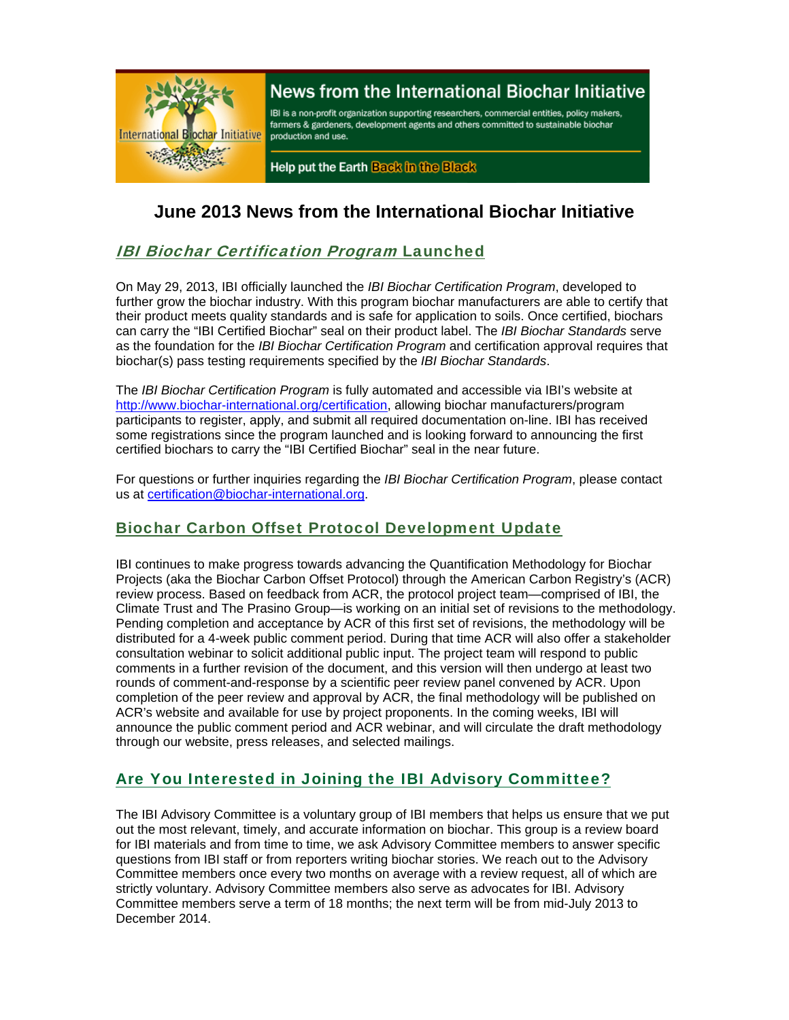

# News from the International Biochar Initiative

IBI is a non-profit organization supporting researchers, commercial entities, policy makers, farmers & gardeners, development agents and others committed to sustainable biochar production and use.

Help put the Earth Back in the Black

# **June 2013 News from the International Biochar Initiative**

# IBI Biochar Certification Program Launched

On May 29, 2013, IBI officially launched the *IBI Biochar Certification Program*, developed to further grow the biochar industry. With this program biochar manufacturers are able to certify that their product meets quality standards and is safe for application to soils. Once certified, biochars can carry the "IBI Certified Biochar" seal on their product label. The *IBI Biochar Standards* serve as the foundation for the *IBI Biochar Certification Program* and certification approval requires that biochar(s) pass testing requirements specified by the *IBI Biochar Standards*.

The *IBI Biochar Certification Program* is fully automated and accessible via IBI's website at http://www.biochar-international.org/certification, allowing biochar manufacturers/program participants to register, apply, and submit all required documentation on-line. IBI has received some registrations since the program launched and is looking forward to announcing the first certified biochars to carry the "IBI Certified Biochar" seal in the near future.

For questions or further inquiries regarding the *IBI Biochar Certification Program*, please contact us at certification@biochar-international.org.

## Biochar Carbon Offset Protocol Development Update

IBI continues to make progress towards advancing the Quantification Methodology for Biochar Projects (aka the Biochar Carbon Offset Protocol) through the American Carbon Registry's (ACR) review process. Based on feedback from ACR, the protocol project team—comprised of IBI, the Climate Trust and The Prasino Group—is working on an initial set of revisions to the methodology. Pending completion and acceptance by ACR of this first set of revisions, the methodology will be distributed for a 4-week public comment period. During that time ACR will also offer a stakeholder consultation webinar to solicit additional public input. The project team will respond to public comments in a further revision of the document, and this version will then undergo at least two rounds of comment-and-response by a scientific peer review panel convened by ACR. Upon completion of the peer review and approval by ACR, the final methodology will be published on ACR's website and available for use by project proponents. In the coming weeks, IBI will announce the public comment period and ACR webinar, and will circulate the draft methodology through our website, press releases, and selected mailings.

# Are You Interested in Joining the IBI Advisory Committee?

The IBI Advisory Committee is a voluntary group of IBI members that helps us ensure that we put out the most relevant, timely, and accurate information on biochar. This group is a review board for IBI materials and from time to time, we ask Advisory Committee members to answer specific questions from IBI staff or from reporters writing biochar stories. We reach out to the Advisory Committee members once every two months on average with a review request, all of which are strictly voluntary. Advisory Committee members also serve as advocates for IBI. Advisory Committee members serve a term of 18 months; the next term will be from mid-July 2013 to December 2014.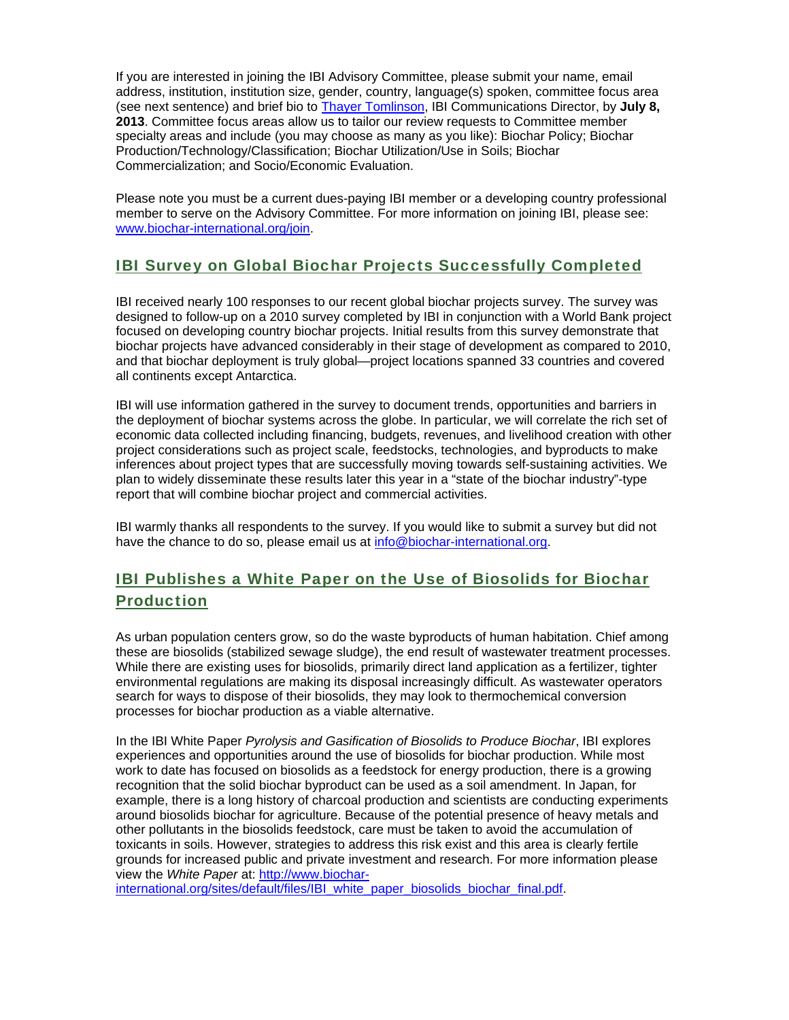If you are interested in joining the IBI Advisory Committee, please submit your name, email address, institution, institution size, gender, country, language(s) spoken, committee focus area (see next sentence) and brief bio to Thayer Tomlinson, IBI Communications Director, by **July 8, 2013**. Committee focus areas allow us to tailor our review requests to Committee member specialty areas and include (you may choose as many as you like): Biochar Policy; Biochar Production/Technology/Classification; Biochar Utilization/Use in Soils; Biochar Commercialization; and Socio/Economic Evaluation.

Please note you must be a current dues-paying IBI member or a developing country professional member to serve on the Advisory Committee. For more information on joining IBI, please see: www.biochar-international.org/join.

## IBI Survey on Global Biochar Projects Successfully Completed

IBI received nearly 100 responses to our recent global biochar projects survey. The survey was designed to follow-up on a 2010 survey completed by IBI in conjunction with a World Bank project focused on developing country biochar projects. Initial results from this survey demonstrate that biochar projects have advanced considerably in their stage of development as compared to 2010, and that biochar deployment is truly global—project locations spanned 33 countries and covered all continents except Antarctica.

IBI will use information gathered in the survey to document trends, opportunities and barriers in the deployment of biochar systems across the globe. In particular, we will correlate the rich set of economic data collected including financing, budgets, revenues, and livelihood creation with other project considerations such as project scale, feedstocks, technologies, and byproducts to make inferences about project types that are successfully moving towards self-sustaining activities. We plan to widely disseminate these results later this year in a "state of the biochar industry"-type report that will combine biochar project and commercial activities.

IBI warmly thanks all respondents to the survey. If you would like to submit a survey but did not have the chance to do so, please email us at info@biochar-international.org.

# IBI Publishes a White Paper on the Use of Biosolids for Biochar Production

As urban population centers grow, so do the waste byproducts of human habitation. Chief among these are biosolids (stabilized sewage sludge), the end result of wastewater treatment processes. While there are existing uses for biosolids, primarily direct land application as a fertilizer, tighter environmental regulations are making its disposal increasingly difficult. As wastewater operators search for ways to dispose of their biosolids, they may look to thermochemical conversion processes for biochar production as a viable alternative.

In the IBI White Paper *Pyrolysis and Gasification of Biosolids to Produce Biochar*, IBI explores experiences and opportunities around the use of biosolids for biochar production. While most work to date has focused on biosolids as a feedstock for energy production, there is a growing recognition that the solid biochar byproduct can be used as a soil amendment. In Japan, for example, there is a long history of charcoal production and scientists are conducting experiments around biosolids biochar for agriculture. Because of the potential presence of heavy metals and other pollutants in the biosolids feedstock, care must be taken to avoid the accumulation of toxicants in soils. However, strategies to address this risk exist and this area is clearly fertile grounds for increased public and private investment and research. For more information please view the *White Paper* at: http://www.biochar-

international.org/sites/default/files/IBI\_white\_paper\_biosolids\_biochar\_final.pdf.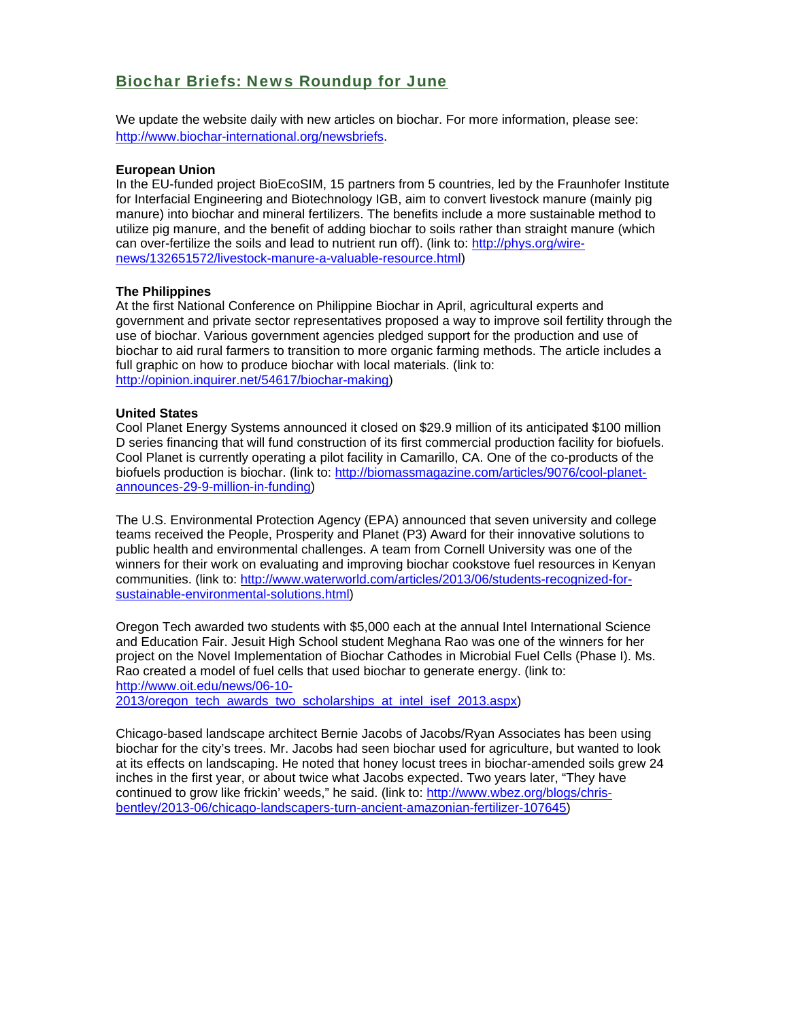## Biochar Briefs: News Roundup for June

We update the website daily with new articles on biochar. For more information, please see: http://www.biochar-international.org/newsbriefs.

#### **European Union**

In the EU-funded project BioEcoSIM, 15 partners from 5 countries, led by the Fraunhofer Institute for Interfacial Engineering and Biotechnology IGB, aim to convert livestock manure (mainly pig manure) into biochar and mineral fertilizers. The benefits include a more sustainable method to utilize pig manure, and the benefit of adding biochar to soils rather than straight manure (which can over-fertilize the soils and lead to nutrient run off). (link to: http://phys.org/wirenews/132651572/livestock-manure-a-valuable-resource.html)

#### **The Philippines**

At the first National Conference on Philippine Biochar in April, agricultural experts and government and private sector representatives proposed a way to improve soil fertility through the use of biochar. Various government agencies pledged support for the production and use of biochar to aid rural farmers to transition to more organic farming methods. The article includes a full graphic on how to produce biochar with local materials. (link to: http://opinion.inquirer.net/54617/biochar-making)

#### **United States**

Cool Planet Energy Systems announced it closed on \$29.9 million of its anticipated \$100 million D series financing that will fund construction of its first commercial production facility for biofuels. Cool Planet is currently operating a pilot facility in Camarillo, CA. One of the co-products of the biofuels production is biochar. (link to: http://biomassmagazine.com/articles/9076/cool-planetannounces-29-9-million-in-funding)

The U.S. Environmental Protection Agency (EPA) announced that seven university and college teams received the People, Prosperity and Planet (P3) Award for their innovative solutions to public health and environmental challenges. A team from Cornell University was one of the winners for their work on evaluating and improving biochar cookstove fuel resources in Kenyan communities. (link to: http://www.waterworld.com/articles/2013/06/students-recognized-forsustainable-environmental-solutions.html)

Oregon Tech awarded two students with \$5,000 each at the annual Intel International Science and Education Fair. Jesuit High School student Meghana Rao was one of the winners for her project on the Novel Implementation of Biochar Cathodes in Microbial Fuel Cells (Phase I). Ms. Rao created a model of fuel cells that used biochar to generate energy. (link to: http://www.oit.edu/news/06-10-

2013/oregon\_tech\_awards\_two\_scholarships\_at\_intel\_isef\_2013.aspx)

Chicago-based landscape architect Bernie Jacobs of Jacobs/Ryan Associates has been using biochar for the city's trees. Mr. Jacobs had seen biochar used for agriculture, but wanted to look at its effects on landscaping. He noted that honey locust trees in biochar-amended soils grew 24 inches in the first year, or about twice what Jacobs expected. Two years later, "They have continued to grow like frickin' weeds," he said. (link to: http://www.wbez.org/blogs/chrisbentley/2013-06/chicago-landscapers-turn-ancient-amazonian-fertilizer-107645)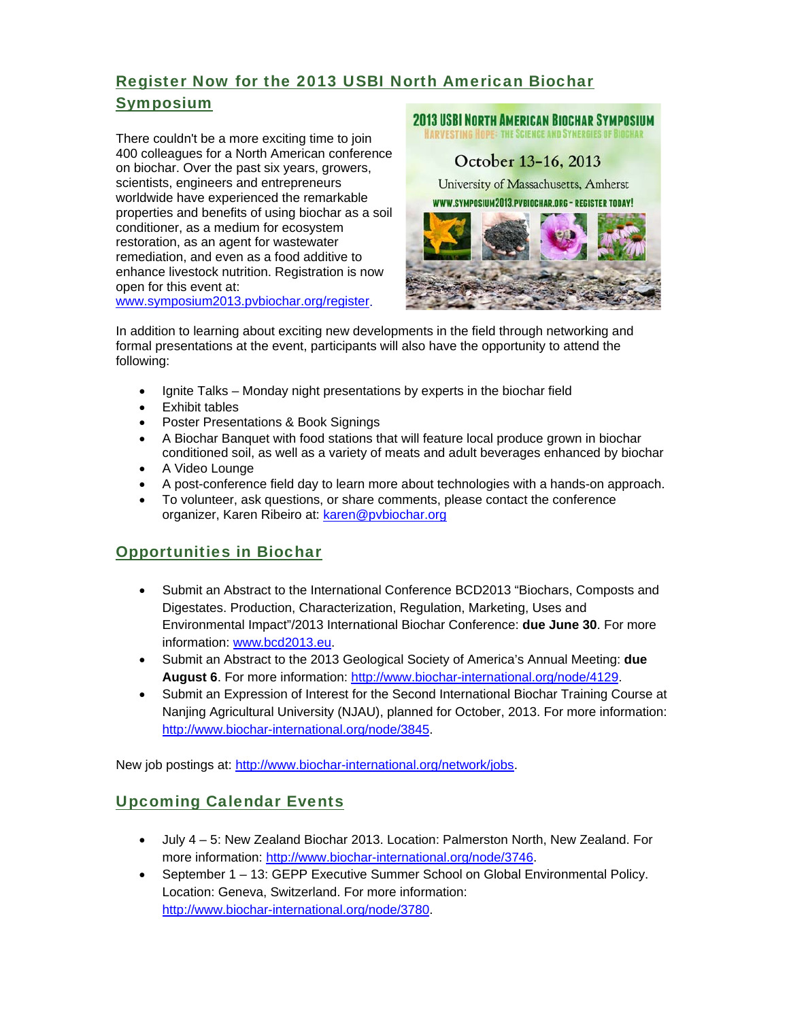# Register Now for the 2013 USBI North American Biochar Symposium

There couldn't be a more exciting time to join 400 colleagues for a North American conference on biochar. Over the past six years, growers, scientists, engineers and entrepreneurs worldwide have experienced the remarkable properties and benefits of using biochar as a soil conditioner, as a medium for ecosystem restoration, as an agent for wastewater remediation, and even as a food additive to enhance livestock nutrition. Registration is now open for this event at: www.symposium2013.pvbiochar.org/register.



In addition to learning about exciting new developments in the field through networking and formal presentations at the event, participants will also have the opportunity to attend the following:

- Ignite Talks Monday night presentations by experts in the biochar field
- Exhibit tables
- Poster Presentations & Book Signings
- A Biochar Banquet with food stations that will feature local produce grown in biochar conditioned soil, as well as a variety of meats and adult beverages enhanced by biochar
- A Video Lounge
- A post-conference field day to learn more about technologies with a hands-on approach.
- To volunteer, ask questions, or share comments, please contact the conference organizer, Karen Ribeiro at: karen@pvbiochar.org

## Opportunities in Biochar

- Submit an Abstract to the International Conference BCD2013 "Biochars, Composts and Digestates. Production, Characterization, Regulation, Marketing, Uses and Environmental Impact"/2013 International Biochar Conference: **due June 30**. For more information: www.bcd2013.eu.
- Submit an Abstract to the 2013 Geological Society of America's Annual Meeting: **due August 6**. For more information: http://www.biochar-international.org/node/4129.
- Submit an Expression of Interest for the Second International Biochar Training Course at Nanjing Agricultural University (NJAU), planned for October, 2013. For more information: http://www.biochar-international.org/node/3845.

New job postings at: http://www.biochar-international.org/network/jobs.

## Upcoming Calendar Events

- July 4 5: New Zealand Biochar 2013. Location: Palmerston North, New Zealand. For more information: http://www.biochar-international.org/node/3746.
- September 1 13: GEPP Executive Summer School on Global Environmental Policy. Location: Geneva, Switzerland. For more information: http://www.biochar-international.org/node/3780.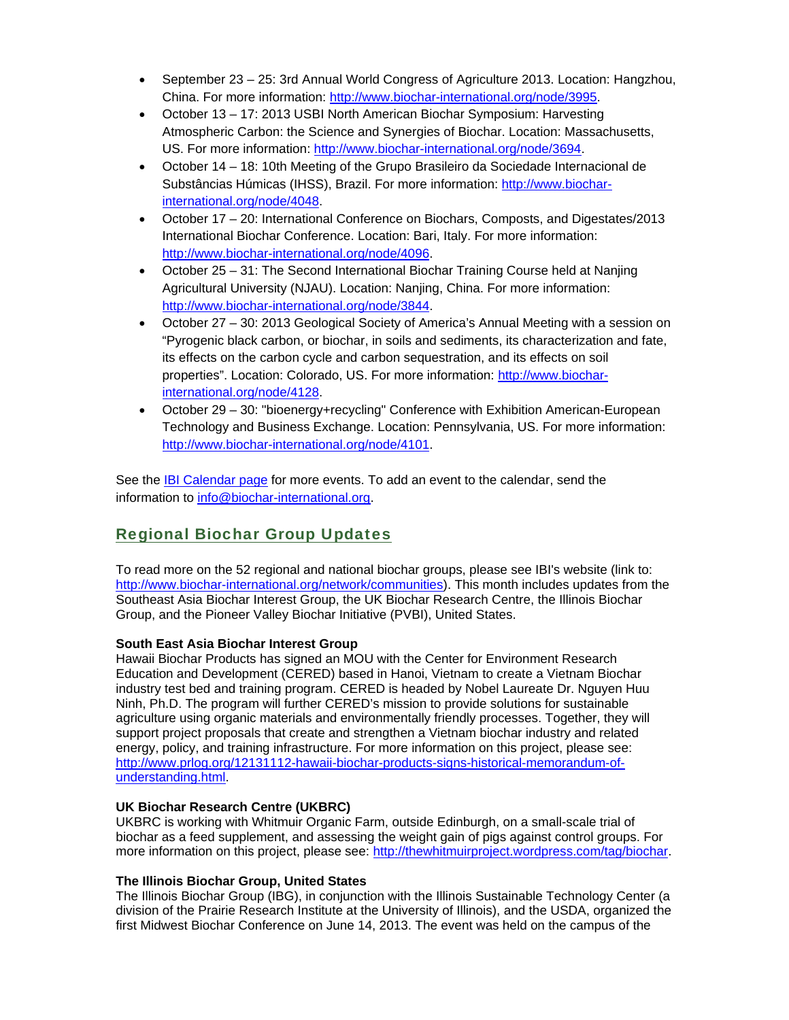- September 23 25: 3rd Annual World Congress of Agriculture 2013. Location: Hangzhou, China. For more information: http://www.biochar-international.org/node/3995.
- October 13 17: 2013 USBI North American Biochar Symposium: Harvesting Atmospheric Carbon: the Science and Synergies of Biochar. Location: Massachusetts, US. For more information: http://www.biochar-international.org/node/3694.
- October 14 18: 10th Meeting of the Grupo Brasileiro da Sociedade Internacional de Substâncias Húmicas (IHSS), Brazil. For more information: http://www.biocharinternational.org/node/4048.
- October 17 20: International Conference on Biochars, Composts, and Digestates/2013 International Biochar Conference. Location: Bari, Italy. For more information: http://www.biochar-international.org/node/4096.
- October 25 31: The Second International Biochar Training Course held at Nanjing Agricultural University (NJAU). Location: Nanjing, China. For more information: http://www.biochar-international.org/node/3844.
- October 27 30: 2013 Geological Society of America's Annual Meeting with a session on "Pyrogenic black carbon, or biochar, in soils and sediments, its characterization and fate, its effects on the carbon cycle and carbon sequestration, and its effects on soil properties". Location: Colorado, US. For more information: http://www.biocharinternational.org/node/4128.
- October 29 30: "bioenergy+recycling" Conference with Exhibition American-European Technology and Business Exchange. Location: Pennsylvania, US. For more information: http://www.biochar-international.org/node/4101.

See the **IBI Calendar page for more events**. To add an event to the calendar, send the information to info@biochar-international.org.

# Regional Biochar Group Updates

To read more on the 52 regional and national biochar groups, please see IBI's website (link to: http://www.biochar-international.org/network/communities). This month includes updates from the Southeast Asia Biochar Interest Group, the UK Biochar Research Centre, the Illinois Biochar Group, and the Pioneer Valley Biochar Initiative (PVBI), United States.

#### **South East Asia Biochar Interest Group**

Hawaii Biochar Products has signed an MOU with the Center for Environment Research Education and Development (CERED) based in Hanoi, Vietnam to create a Vietnam Biochar industry test bed and training program. CERED is headed by Nobel Laureate Dr. Nguyen Huu Ninh, Ph.D. The program will further CERED's mission to provide solutions for sustainable agriculture using organic materials and environmentally friendly processes. Together, they will support project proposals that create and strengthen a Vietnam biochar industry and related energy, policy, and training infrastructure. For more information on this project, please see: http://www.prlog.org/12131112-hawaii-biochar-products-signs-historical-memorandum-ofunderstanding.html.

#### **UK Biochar Research Centre (UKBRC)**

UKBRC is working with Whitmuir Organic Farm, outside Edinburgh, on a small-scale trial of biochar as a feed supplement, and assessing the weight gain of pigs against control groups. For more information on this project, please see: http://thewhitmuirproject.wordpress.com/tag/biochar.

#### **The Illinois Biochar Group, United States**

The Illinois Biochar Group (IBG), in conjunction with the Illinois Sustainable Technology Center (a division of the Prairie Research Institute at the University of Illinois), and the USDA, organized the first Midwest Biochar Conference on June 14, 2013. The event was held on the campus of the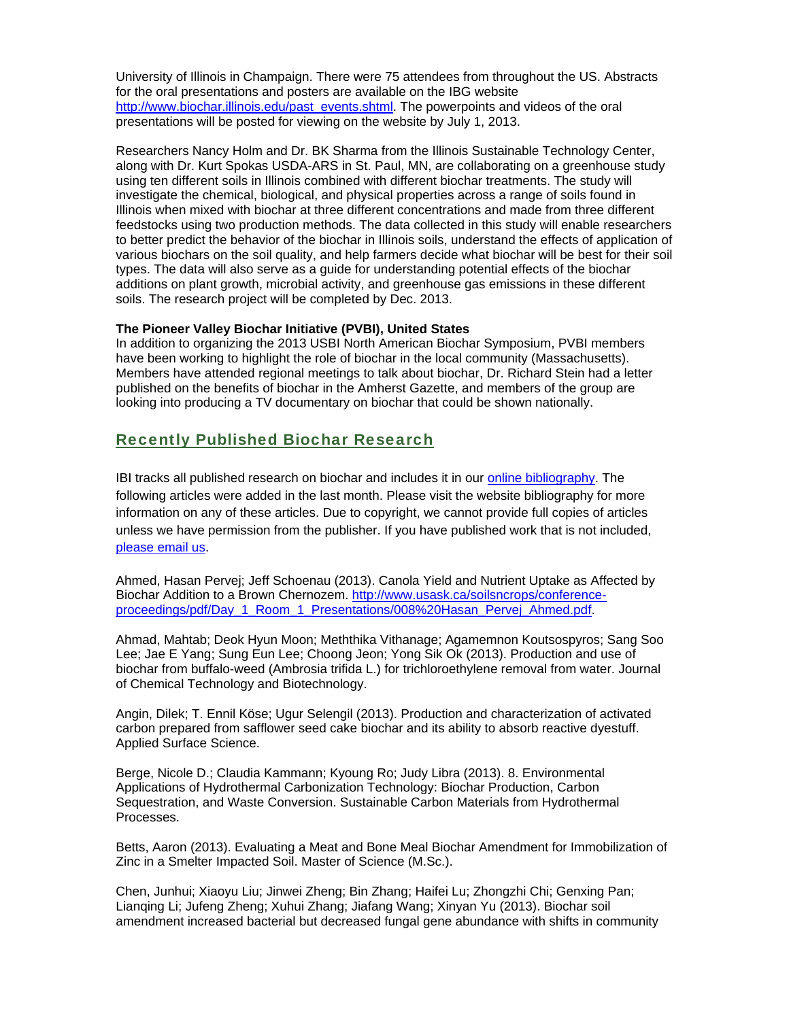University of Illinois in Champaign. There were 75 attendees from throughout the US. Abstracts for the oral presentations and posters are available on the IBG website http://www.biochar.illinois.edu/past\_events.shtml. The powerpoints and videos of the oral presentations will be posted for viewing on the website by July 1, 2013.

Researchers Nancy Holm and Dr. BK Sharma from the Illinois Sustainable Technology Center, along with Dr. Kurt Spokas USDA-ARS in St. Paul, MN, are collaborating on a greenhouse study using ten different soils in Illinois combined with different biochar treatments. The study will investigate the chemical, biological, and physical properties across a range of soils found in Illinois when mixed with biochar at three different concentrations and made from three different feedstocks using two production methods. The data collected in this study will enable researchers to better predict the behavior of the biochar in Illinois soils, understand the effects of application of various biochars on the soil quality, and help farmers decide what biochar will be best for their soil types. The data will also serve as a guide for understanding potential effects of the biochar additions on plant growth, microbial activity, and greenhouse gas emissions in these different soils. The research project will be completed by Dec. 2013.

#### **The Pioneer Valley Biochar Initiative (PVBI), United States**

In addition to organizing the 2013 USBI North American Biochar Symposium, PVBI members have been working to highlight the role of biochar in the local community (Massachusetts). Members have attended regional meetings to talk about biochar, Dr. Richard Stein had a letter published on the benefits of biochar in the Amherst Gazette, and members of the group are looking into producing a TV documentary on biochar that could be shown nationally.

### Recently Published Biochar Research

IBI tracks all published research on biochar and includes it in our online bibliography. The following articles were added in the last month. Please visit the website bibliography for more information on any of these articles. Due to copyright, we cannot provide full copies of articles unless we have permission from the publisher. If you have published work that is not included, please email us.

Ahmed, Hasan Pervej; Jeff Schoenau (2013). Canola Yield and Nutrient Uptake as Affected by Biochar Addition to a Brown Chernozem. http://www.usask.ca/soilsncrops/conferenceproceedings/pdf/Day\_1\_Room\_1\_Presentations/008%20Hasan\_Pervej\_Ahmed.pdf.

Ahmad, Mahtab; Deok Hyun Moon; Meththika Vithanage; Agamemnon Koutsospyros; Sang Soo Lee; Jae E Yang; Sung Eun Lee; Choong Jeon; Yong Sik Ok (2013). Production and use of biochar from buffalo-weed (Ambrosia trifida L.) for trichloroethylene removal from water. Journal of Chemical Technology and Biotechnology.

Angin, Dilek; T. Ennil Köse; Ugur Selengil (2013). Production and characterization of activated carbon prepared from safflower seed cake biochar and its ability to absorb reactive dyestuff. Applied Surface Science.

Berge, Nicole D.; Claudia Kammann; Kyoung Ro; Judy Libra (2013). 8. Environmental Applications of Hydrothermal Carbonization Technology: Biochar Production, Carbon Sequestration, and Waste Conversion. Sustainable Carbon Materials from Hydrothermal Processes.

Betts, Aaron (2013). Evaluating a Meat and Bone Meal Biochar Amendment for Immobilization of Zinc in a Smelter Impacted Soil. Master of Science (M.Sc.).

Chen, Junhui; Xiaoyu Liu; Jinwei Zheng; Bin Zhang; Haifei Lu; Zhongzhi Chi; Genxing Pan; Lianqing Li; Jufeng Zheng; Xuhui Zhang; Jiafang Wang; Xinyan Yu (2013). Biochar soil amendment increased bacterial but decreased fungal gene abundance with shifts in community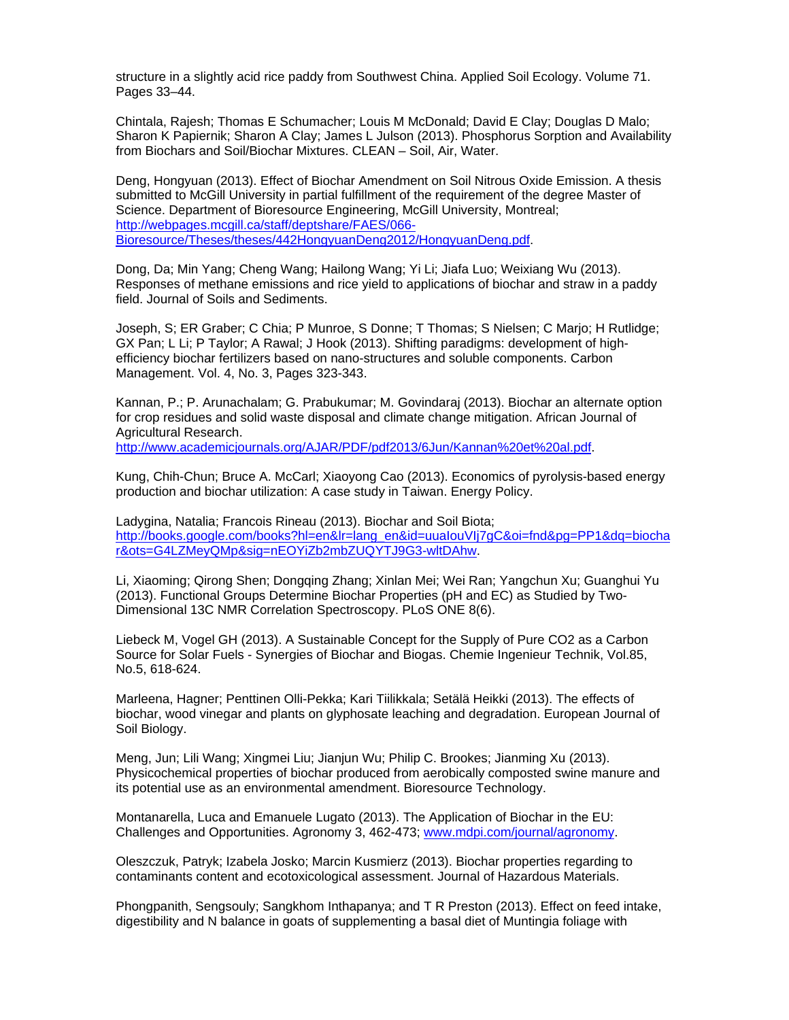structure in a slightly acid rice paddy from Southwest China. Applied Soil Ecology. Volume 71. Pages 33–44.

Chintala, Rajesh; Thomas E Schumacher; Louis M McDonald; David E Clay; Douglas D Malo; Sharon K Papiernik; Sharon A Clay; James L Julson (2013). Phosphorus Sorption and Availability from Biochars and Soil/Biochar Mixtures. CLEAN – Soil, Air, Water.

Deng, Hongyuan (2013). Effect of Biochar Amendment on Soil Nitrous Oxide Emission. A thesis submitted to McGill University in partial fulfillment of the requirement of the degree Master of Science. Department of Bioresource Engineering, McGill University, Montreal; http://webpages.mcgill.ca/staff/deptshare/FAES/066- Bioresource/Theses/theses/442HongyuanDeng2012/HongyuanDeng.pdf.

Dong, Da; Min Yang; Cheng Wang; Hailong Wang; Yi Li; Jiafa Luo; Weixiang Wu (2013). Responses of methane emissions and rice yield to applications of biochar and straw in a paddy field. Journal of Soils and Sediments.

Joseph, S; ER Graber; C Chia; P Munroe, S Donne; T Thomas; S Nielsen; C Marjo; H Rutlidge; GX Pan; L Li; P Taylor; A Rawal; J Hook (2013). Shifting paradigms: development of highefficiency biochar fertilizers based on nano-structures and soluble components. Carbon Management. Vol. 4, No. 3, Pages 323-343.

Kannan, P.; P. Arunachalam; G. Prabukumar; M. Govindaraj (2013). Biochar an alternate option for crop residues and solid waste disposal and climate change mitigation. African Journal of Agricultural Research. http://www.academicjournals.org/AJAR/PDF/pdf2013/6Jun/Kannan%20et%20al.pdf.

Kung, Chih-Chun; Bruce A. McCarl; Xiaoyong Cao (2013). Economics of pyrolysis-based energy production and biochar utilization: A case study in Taiwan. Energy Policy.

Ladygina, Natalia; Francois Rineau (2013). Biochar and Soil Biota; http://books.google.com/books?hl=en&lr=lang\_en&id=uuaIouVIj7gC&oi=fnd&pg=PP1&dq=biocha r&ots=G4LZMeyQMp&sig=nEOYiZb2mbZUQYTJ9G3-wltDAhw.

Li, Xiaoming; Qirong Shen; Dongqing Zhang; Xinlan Mei; Wei Ran; Yangchun Xu; Guanghui Yu (2013). Functional Groups Determine Biochar Properties (pH and EC) as Studied by Two-Dimensional 13C NMR Correlation Spectroscopy. PLoS ONE 8(6).

Liebeck M, Vogel GH (2013). A Sustainable Concept for the Supply of Pure CO2 as a Carbon Source for Solar Fuels - Synergies of Biochar and Biogas. Chemie Ingenieur Technik, Vol.85, No.5, 618-624.

Marleena, Hagner; Penttinen Olli-Pekka; Kari Tiilikkala; Setälä Heikki (2013). The effects of biochar, wood vinegar and plants on glyphosate leaching and degradation. European Journal of Soil Biology.

Meng, Jun; Lili Wang; Xingmei Liu; Jianjun Wu; Philip C. Brookes; Jianming Xu (2013). Physicochemical properties of biochar produced from aerobically composted swine manure and its potential use as an environmental amendment. Bioresource Technology.

Montanarella, Luca and Emanuele Lugato (2013). The Application of Biochar in the EU: Challenges and Opportunities. Agronomy 3, 462-473; www.mdpi.com/journal/agronomy.

Oleszczuk, Patryk; Izabela Josko; Marcin Kusmierz (2013). Biochar properties regarding to contaminants content and ecotoxicological assessment. Journal of Hazardous Materials.

Phongpanith, Sengsouly; Sangkhom Inthapanya; and T R Preston (2013). Effect on feed intake, digestibility and N balance in goats of supplementing a basal diet of Muntingia foliage with